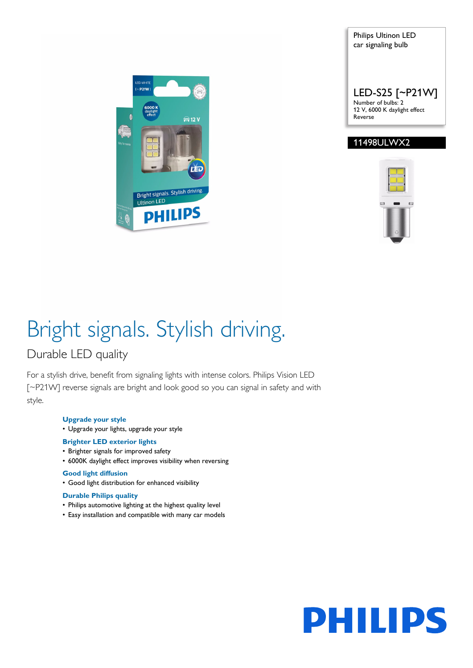

Philips Ultinon LED car signaling bulb LED-S25 [~P21W] Number of bulbs: 2 12 V, 6000 K daylight effect Reverse

### 11498ULWX2



# Bright signals. Stylish driving.

### Durable LED quality

For a stylish drive, benefit from signaling lights with intense colors. Philips Vision LED [~P21W] reverse signals are bright and look good so you can signal in safety and with style.

#### **Upgrade your style**

• Upgrade your lights, upgrade your style

#### **Brighter LED exterior lights**

- Brighter signals for improved safety
- 6000K daylight effect improves visibility when reversing

#### **Good light diffusion**

• Good light distribution for enhanced visibility

#### **Durable Philips quality**

- Philips automotive lighting at the highest quality level
- Easy installation and compatible with many car models